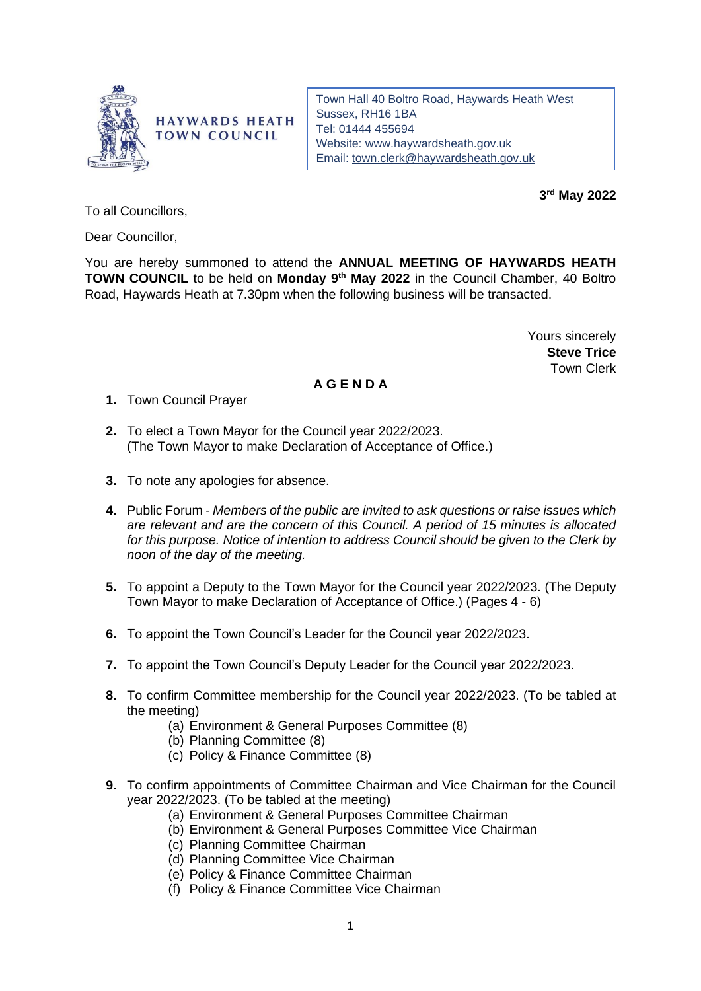

**HAYWARDS HEATH TOWN COUNCIL** 

Town Hall 40 Boltro Road, Haywards Heath West Sussex, RH16 1BA Tel: 01444 455694 Website: [www.haywardsheath.gov.uk](http://www.haywardsheath.gov.uk/) Email: [town.clerk@haywardsheath.gov.uk](mailto:town.clerk@haywardsheath.gov.uk)

**3 rd May 2022**

To all Councillors,

Dear Councillor,

You are hereby summoned to attend the **ANNUAL MEETING OF HAYWARDS HEATH TOWN COUNCIL** to be held on Monday 9<sup>th</sup> May 2022 in the Council Chamber, 40 Boltro Road, Haywards Heath at 7.30pm when the following business will be transacted.

> Yours sincerely **Steve Trice** Town Clerk

## **A G E N D A**

**1.** Town Council Prayer

- **2.** To elect a Town Mayor for the Council year 2022/2023. (The Town Mayor to make Declaration of Acceptance of Office.)
- **3.** To note any apologies for absence.
- **4.** Public Forum *Members of the public are invited to ask questions or raise issues which are relevant and are the concern of this Council. A period of 15 minutes is allocated for this purpose. Notice of intention to address Council should be given to the Clerk by noon of the day of the meeting.*
- **5.** To appoint a Deputy to the Town Mayor for the Council year 2022/2023. (The Deputy Town Mayor to make Declaration of Acceptance of Office.) (Pages 4 - 6)
- **6.** To appoint the Town Council's Leader for the Council year 2022/2023.
- **7.** To appoint the Town Council's Deputy Leader for the Council year 2022/2023.
- **8.** To confirm Committee membership for the Council year 2022/2023. (To be tabled at the meeting)
	- (a) Environment & General Purposes Committee (8)
	- (b) Planning Committee (8)
	- (c) Policy & Finance Committee (8)
- **9.** To confirm appointments of Committee Chairman and Vice Chairman for the Council year 2022/2023. (To be tabled at the meeting)
	- (a) Environment & General Purposes Committee Chairman
	- (b) Environment & General Purposes Committee Vice Chairman
	- (c) Planning Committee Chairman
	- (d) Planning Committee Vice Chairman
	- (e) Policy & Finance Committee Chairman
	- (f) Policy & Finance Committee Vice Chairman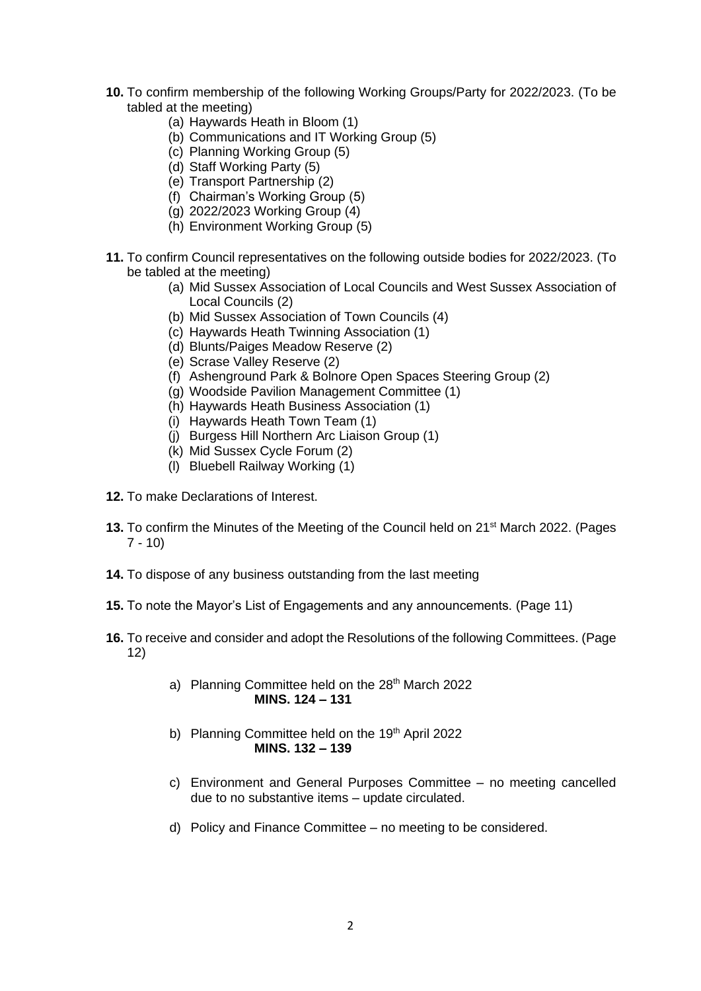- **10.** To confirm membership of the following Working Groups/Party for 2022/2023. (To be tabled at the meeting)
	- (a) Haywards Heath in Bloom (1)
	- (b) Communications and IT Working Group (5)
	- (c) Planning Working Group (5)
	- (d) Staff Working Party (5)
	- (e) Transport Partnership (2)
	- (f) Chairman's Working Group (5)
	- (g) 2022/2023 Working Group (4)
	- (h) Environment Working Group (5)
- **11.** To confirm Council representatives on the following outside bodies for 2022/2023. (To be tabled at the meeting)
	- (a) Mid Sussex Association of Local Councils and West Sussex Association of Local Councils (2)
	- (b) Mid Sussex Association of Town Councils (4)
	- (c) Haywards Heath Twinning Association (1)
	- (d) Blunts/Paiges Meadow Reserve (2)
	- (e) Scrase Valley Reserve (2)
	- (f) Ashenground Park & Bolnore Open Spaces Steering Group (2)
	- (g) Woodside Pavilion Management Committee (1)
	- (h) Haywards Heath Business Association (1)
	- (i) Haywards Heath Town Team (1)
	- (j) Burgess Hill Northern Arc Liaison Group (1)
	- (k) Mid Sussex Cycle Forum (2)
	- (l) Bluebell Railway Working (1)
- **12.** To make Declarations of Interest.
- 13. To confirm the Minutes of the Meeting of the Council held on 21<sup>st</sup> March 2022. (Pages 7 - 10)
- **14.** To dispose of any business outstanding from the last meeting
- **15.** To note the Mayor's List of Engagements and any announcements. (Page 11)
- **16.** To receive and consider and adopt the Resolutions of the following Committees. (Page 12)
	- a) Planning Committee held on the 28<sup>th</sup> March 2022 **MINS. 124 – 131**
	- b) Planning Committee held on the 19<sup>th</sup> April 2022 **MINS. 132 – 139**
	- c) Environment and General Purposes Committee no meeting cancelled due to no substantive items – update circulated.
	- d) Policy and Finance Committee no meeting to be considered.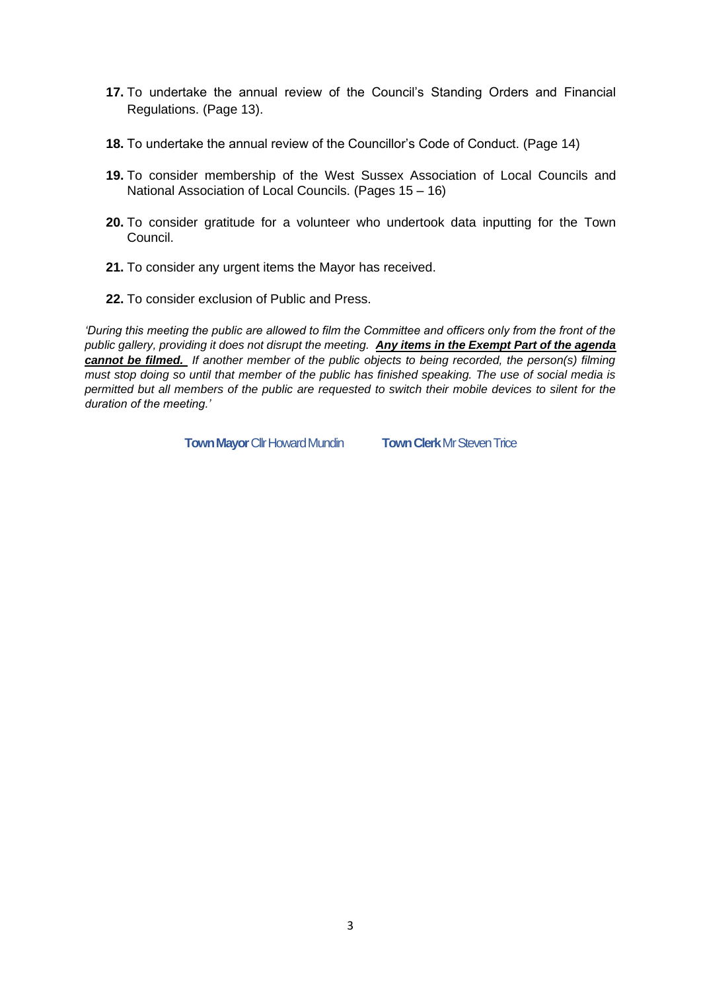- **17.** To undertake the annual review of the Council's Standing Orders and Financial Regulations. (Page 13).
- **18.** To undertake the annual review of the Councillor's Code of Conduct. (Page 14)
- **19.** To consider membership of the West Sussex Association of Local Councils and National Association of Local Councils. (Pages 15 – 16)
- **20.** To consider gratitude for a volunteer who undertook data inputting for the Town Council.
- **21.** To consider any urgent items the Mayor has received.
- **22.** To consider exclusion of Public and Press.

*'During this meeting the public are allowed to film the Committee and officers only from the front of the public gallery, providing it does not disrupt the meeting. Any items in the Exempt Part of the agenda cannot be filmed. If another member of the public objects to being recorded, the person(s) filming must stop doing so until that member of the public has finished speaking. The use of social media is permitted but all members of the public are requested to switch their mobile devices to silent for the duration of the meeting.'*

**Town Mayor** Cllr Howard Mundin **Town Clerk** Mr Steven Trice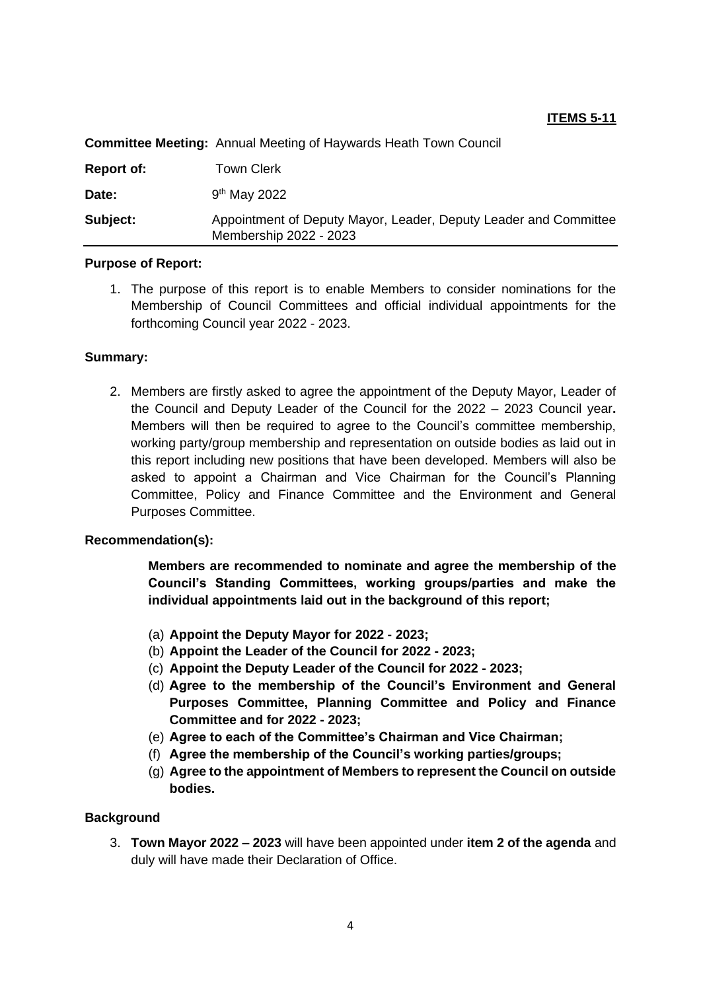## **ITEMS 5-11**

| Subject:          | Appointment of Deputy Mayor, Leader, Deputy Leader and Committee<br>Membership 2022 - 2023 |
|-------------------|--------------------------------------------------------------------------------------------|
| Date:             | $9th$ May 2022                                                                             |
| <b>Report of:</b> | Town Clerk                                                                                 |
|                   | <b>Committee Meeting:</b> Annual Meeting of Haywards Heath Town Council                    |

# **Committee Meeting:** Annual Meeting of Haywards Heath Town Council

#### **Purpose of Report:**

1. The purpose of this report is to enable Members to consider nominations for the Membership of Council Committees and official individual appointments for the forthcoming Council year 2022 - 2023.

#### **Summary:**

2. Members are firstly asked to agree the appointment of the Deputy Mayor, Leader of the Council and Deputy Leader of the Council for the 2022 – 2023 Council year**.**  Members will then be required to agree to the Council's committee membership, working party/group membership and representation on outside bodies as laid out in this report including new positions that have been developed. Members will also be asked to appoint a Chairman and Vice Chairman for the Council's Planning Committee, Policy and Finance Committee and the Environment and General Purposes Committee.

## **Recommendation(s):**

**Members are recommended to nominate and agree the membership of the Council's Standing Committees, working groups/parties and make the individual appointments laid out in the background of this report;**

- (a) **Appoint the Deputy Mayor for 2022 - 2023;**
- (b) **Appoint the Leader of the Council for 2022 - 2023;**
- (c) **Appoint the Deputy Leader of the Council for 2022 - 2023;**
- (d) **Agree to the membership of the Council's Environment and General Purposes Committee, Planning Committee and Policy and Finance Committee and for 2022 - 2023;**
- (e) **Agree to each of the Committee's Chairman and Vice Chairman;**
- (f) **Agree the membership of the Council's working parties/groups;**
- (g) **Agree to the appointment of Members to represent the Council on outside bodies.**

## **Background**

3. **Town Mayor 2022 – 2023** will have been appointed under **item 2 of the agenda** and duly will have made their Declaration of Office.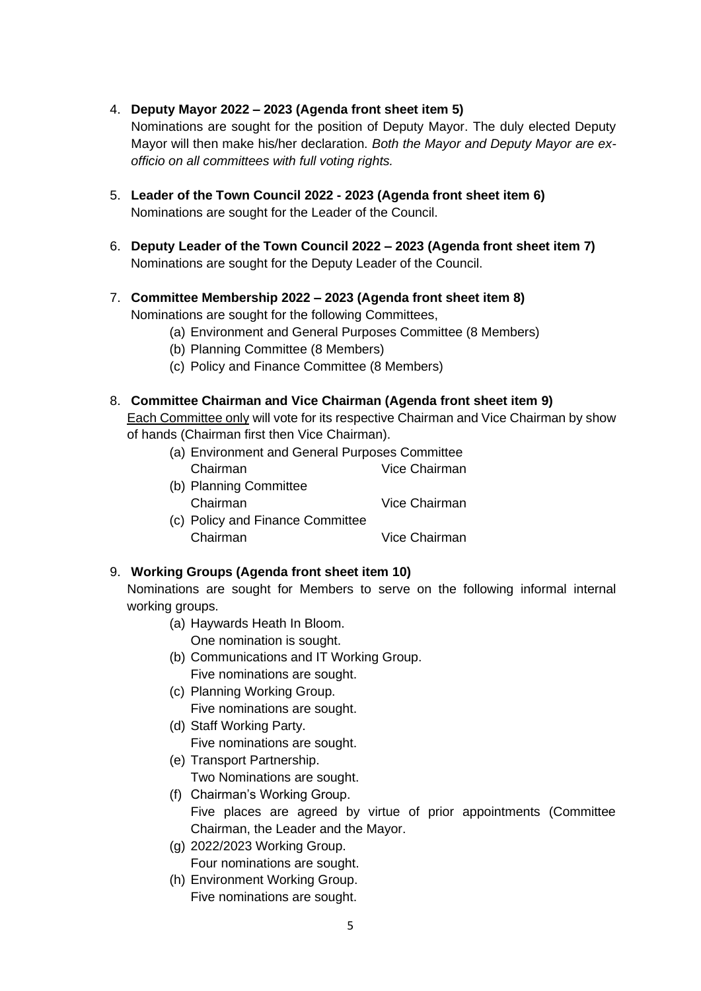4. **Deputy Mayor 2022 – 2023 (Agenda front sheet item 5)**

Nominations are sought for the position of Deputy Mayor. The duly elected Deputy Mayor will then make his/her declaration. *Both the Mayor and Deputy Mayor are exofficio on all committees with full voting rights.*

- 5. **Leader of the Town Council 2022 - 2023 (Agenda front sheet item 6)** Nominations are sought for the Leader of the Council.
- 6. **Deputy Leader of the Town Council 2022 – 2023 (Agenda front sheet item 7)** Nominations are sought for the Deputy Leader of the Council.
- 7. **Committee Membership 2022 – 2023 (Agenda front sheet item 8)** Nominations are sought for the following Committees,
	- (a) Environment and General Purposes Committee (8 Members)
	- (b) Planning Committee (8 Members)
	- (c) Policy and Finance Committee (8 Members)

## 8. **Committee Chairman and Vice Chairman (Agenda front sheet item 9)**

Each Committee only will vote for its respective Chairman and Vice Chairman by show of hands (Chairman first then Vice Chairman).

- (a) Environment and General Purposes Committee Chairman Vice Chairman
- (b) Planning Committee Chairman Vice Chairman
- (c) Policy and Finance Committee Chairman Vice Chairman

## 9. **Working Groups (Agenda front sheet item 10)**

Nominations are sought for Members to serve on the following informal internal working groups.

(a) Haywards Heath In Bloom.

One nomination is sought.

- (b) Communications and IT Working Group. Five nominations are sought.
- (c) Planning Working Group. Five nominations are sought.
- (d) Staff Working Party. Five nominations are sought.
- (e) Transport Partnership. Two Nominations are sought.
- (f) Chairman's Working Group. Five places are agreed by virtue of prior appointments (Committee Chairman, the Leader and the Mayor.
- (g) 2022/2023 Working Group. Four nominations are sought.
- (h) Environment Working Group. Five nominations are sought.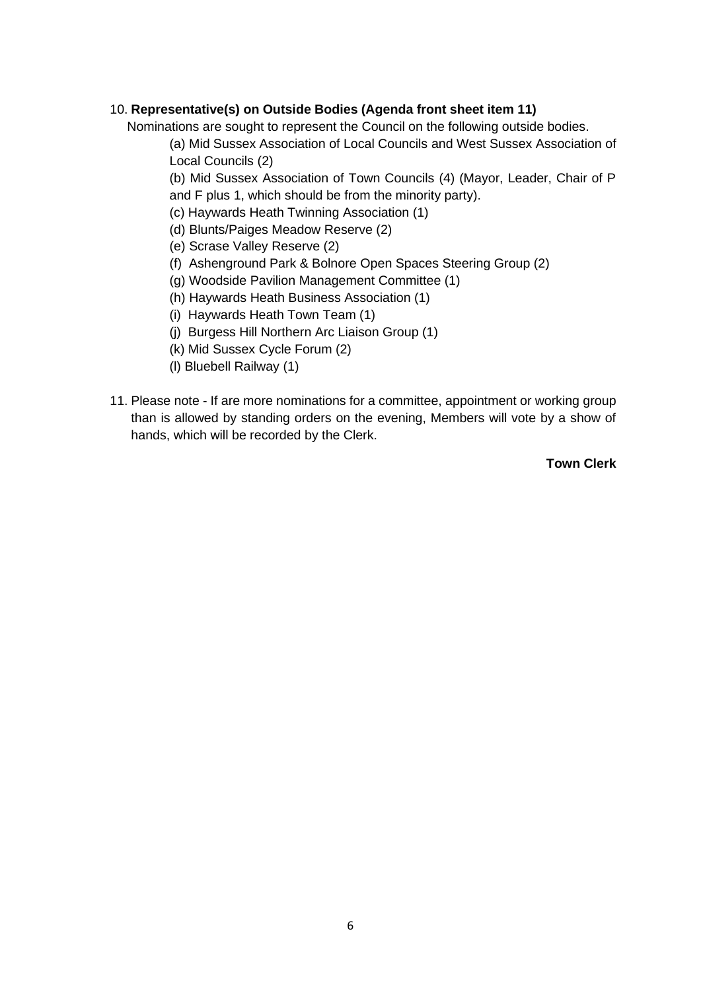## 10. **Representative(s) on Outside Bodies (Agenda front sheet item 11)**

Nominations are sought to represent the Council on the following outside bodies.

(a) Mid Sussex Association of Local Councils and West Sussex Association of Local Councils (2)

(b) Mid Sussex Association of Town Councils (4) (Mayor, Leader, Chair of P and F plus 1, which should be from the minority party).

- (c) Haywards Heath Twinning Association (1)
- (d) Blunts/Paiges Meadow Reserve (2)
- (e) Scrase Valley Reserve (2)
- (f) Ashenground Park & Bolnore Open Spaces Steering Group (2)
- (g) Woodside Pavilion Management Committee (1)
- (h) Haywards Heath Business Association (1)
- (i) Haywards Heath Town Team (1)
- (j) Burgess Hill Northern Arc Liaison Group (1)
- (k) Mid Sussex Cycle Forum (2)
- (l) Bluebell Railway (1)
- 11. Please note If are more nominations for a committee, appointment or working group than is allowed by standing orders on the evening, Members will vote by a show of hands, which will be recorded by the Clerk.

**Town Clerk**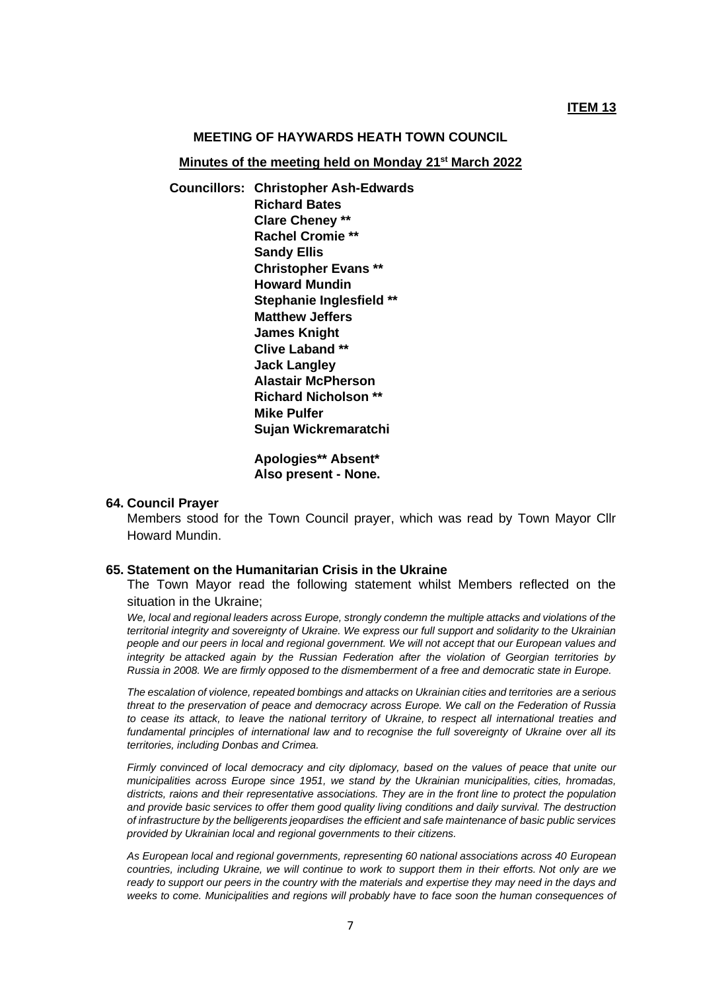#### **MEETING OF HAYWARDS HEATH TOWN COUNCIL**

**Minutes of the meeting held on Monday 21st March 2022**

**Councillors: Christopher Ash-Edwards Richard Bates Clare Cheney \*\* Rachel Cromie \*\* Sandy Ellis Christopher Evans \*\* Howard Mundin Stephanie Inglesfield \*\* Matthew Jeffers James Knight Clive Laband \*\* Jack Langley Alastair McPherson Richard Nicholson \*\* Mike Pulfer Sujan Wickremaratchi**

> **Apologies\*\* Absent\* Also present - None.**

#### **64. Council Prayer**

Members stood for the Town Council prayer, which was read by Town Mayor Cllr Howard Mundin.

#### **65. Statement on the Humanitarian Crisis in the Ukraine**

The Town Mayor read the following statement whilst Members reflected on the situation in the Ukraine;

*We, local and regional leaders across Europe, strongly condemn the multiple attacks and violations of the territorial integrity and sovereignty of Ukraine. We express our full support and solidarity to the Ukrainian people and our peers in local and regional government. We will not accept that our European values and integrity be attacked again by the Russian Federation after the violation of Georgian territories by Russia in 2008. We are firmly opposed to the dismemberment of a free and democratic state in Europe.*

*The escalation of violence, repeated bombings and attacks on Ukrainian cities and territories are a serious threat to the preservation of peace and democracy across Europe. We call on the Federation of Russia to cease its attack, to leave the national territory of Ukraine, to respect all international treaties and fundamental principles of international law and to recognise the full sovereignty of Ukraine over all its territories, including Donbas and Crimea.*

*Firmly convinced of local democracy and city diplomacy, based on the values of peace that unite our municipalities across Europe since 1951, we stand by the Ukrainian municipalities, cities, hromadas, districts, raions and their representative associations. They are in the front line to protect the population and provide basic services to offer them good quality living conditions and daily survival. The destruction of infrastructure by the belligerents jeopardises the efficient and safe maintenance of basic public services provided by Ukrainian local and regional governments to their citizens.*

*As European local and regional governments, representing 60 national associations across 40 European countries, including Ukraine, we will continue to work to support them in their efforts. Not only are we ready to support our peers in the country with the materials and expertise they may need in the days and weeks to come. Municipalities and regions will probably have to face soon the human consequences of*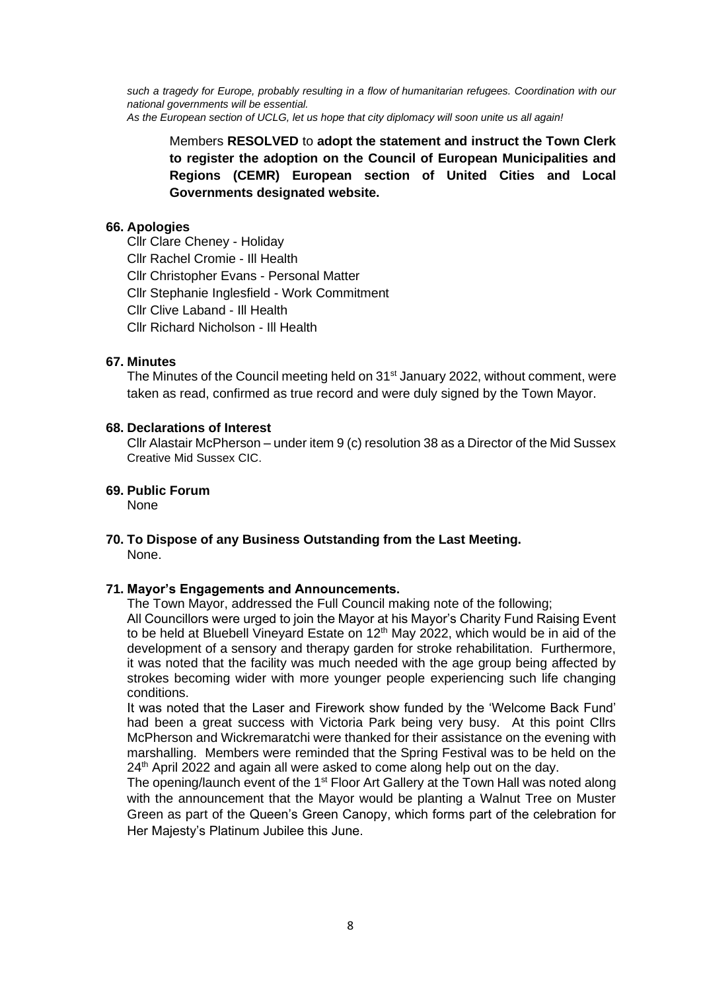*such a tragedy for Europe, probably resulting in a flow of humanitarian refugees. Coordination with our national governments will be essential. As the European section of UCLG, let us hope that city diplomacy will soon unite us all again!*

Members **RESOLVED** to **adopt the statement and instruct the Town Clerk to register the adoption on the Council of European Municipalities and Regions (CEMR) European section of United Cities and Local Governments designated website.**

### **66. Apologies**

Cllr Clare Cheney - Holiday Cllr Rachel Cromie - Ill Health Cllr Christopher Evans - Personal Matter Cllr Stephanie Inglesfield - Work Commitment Cllr Clive Laband - Ill Health Cllr Richard Nicholson - Ill Health

#### **67. Minutes**

The Minutes of the Council meeting held on 31<sup>st</sup> January 2022, without comment, were taken as read, confirmed as true record and were duly signed by the Town Mayor.

#### **68. Declarations of Interest**

Cllr Alastair McPherson – under item 9 (c) resolution 38 as a Director of the Mid Sussex Creative Mid Sussex CIC.

## **69. Public Forum**

None

#### **70. To Dispose of any Business Outstanding from the Last Meeting.** None.

#### **71. Mayor's Engagements and Announcements.**

The Town Mayor, addressed the Full Council making note of the following;

All Councillors were urged to join the Mayor at his Mayor's Charity Fund Raising Event to be held at Bluebell Vineyard Estate on  $12<sup>th</sup>$  May 2022, which would be in aid of the development of a sensory and therapy garden for stroke rehabilitation. Furthermore, it was noted that the facility was much needed with the age group being affected by strokes becoming wider with more younger people experiencing such life changing conditions.

It was noted that the Laser and Firework show funded by the 'Welcome Back Fund' had been a great success with Victoria Park being very busy. At this point Cllrs McPherson and Wickremaratchi were thanked for their assistance on the evening with marshalling. Members were reminded that the Spring Festival was to be held on the 24<sup>th</sup> April 2022 and again all were asked to come along help out on the day.

The opening/launch event of the  $1<sup>st</sup>$  Floor Art Gallery at the Town Hall was noted along with the announcement that the Mayor would be planting a Walnut Tree on Muster Green as part of the Queen's Green Canopy, which forms part of the celebration for Her Majesty's Platinum Jubilee this June.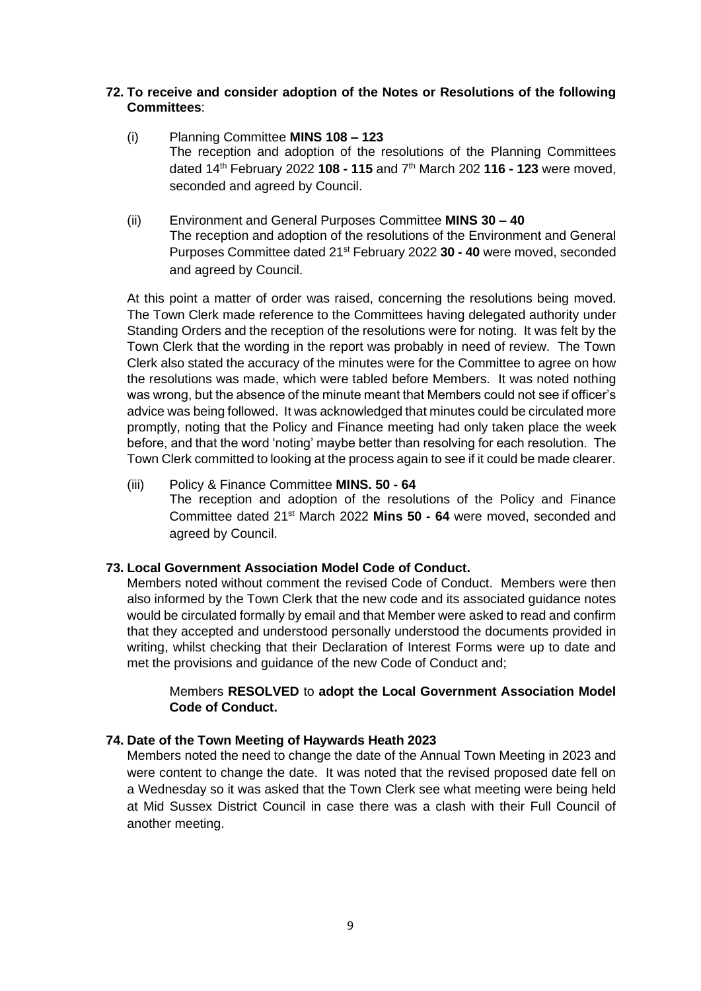## **72. To receive and consider adoption of the Notes or Resolutions of the following Committees**:

- (i) Planning Committee **MINS 108 – 123** The reception and adoption of the resolutions of the Planning Committees dated 14 th February 2022 **108 - 115** and 7 th March 202 **116 - 123** were moved, seconded and agreed by Council.
- (ii) Environment and General Purposes Committee **MINS 30 – 40** The reception and adoption of the resolutions of the Environment and General Purposes Committee dated 21<sup>st</sup> February 2022 30 - 40 were moved, seconded and agreed by Council.

At this point a matter of order was raised, concerning the resolutions being moved. The Town Clerk made reference to the Committees having delegated authority under Standing Orders and the reception of the resolutions were for noting. It was felt by the Town Clerk that the wording in the report was probably in need of review. The Town Clerk also stated the accuracy of the minutes were for the Committee to agree on how the resolutions was made, which were tabled before Members. It was noted nothing was wrong, but the absence of the minute meant that Members could not see if officer's advice was being followed. It was acknowledged that minutes could be circulated more promptly, noting that the Policy and Finance meeting had only taken place the week before, and that the word 'noting' maybe better than resolving for each resolution. The Town Clerk committed to looking at the process again to see if it could be made clearer.

(iii) Policy & Finance Committee **MINS. 50 - 64** The reception and adoption of the resolutions of the Policy and Finance Committee dated 21st March 2022 **Mins 50 - 64** were moved, seconded and agreed by Council.

## **73. Local Government Association Model Code of Conduct.**

Members noted without comment the revised Code of Conduct. Members were then also informed by the Town Clerk that the new code and its associated guidance notes would be circulated formally by email and that Member were asked to read and confirm that they accepted and understood personally understood the documents provided in writing, whilst checking that their Declaration of Interest Forms were up to date and met the provisions and guidance of the new Code of Conduct and;

## Members **RESOLVED** to **adopt the Local Government Association Model Code of Conduct.**

#### **74. Date of the Town Meeting of Haywards Heath 2023**

Members noted the need to change the date of the Annual Town Meeting in 2023 and were content to change the date. It was noted that the revised proposed date fell on a Wednesday so it was asked that the Town Clerk see what meeting were being held at Mid Sussex District Council in case there was a clash with their Full Council of another meeting.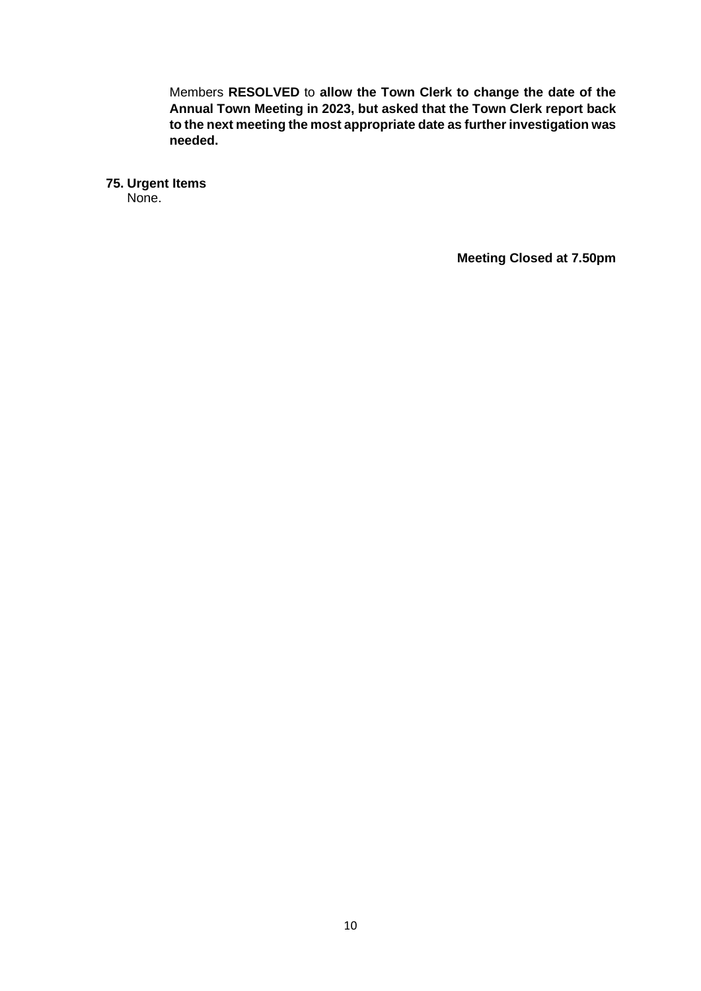Members **RESOLVED** to **allow the Town Clerk to change the date of the Annual Town Meeting in 2023, but asked that the Town Clerk report back to the next meeting the most appropriate date as further investigation was needed.**

**75. Urgent Items**

None.

**Meeting Closed at 7.50pm**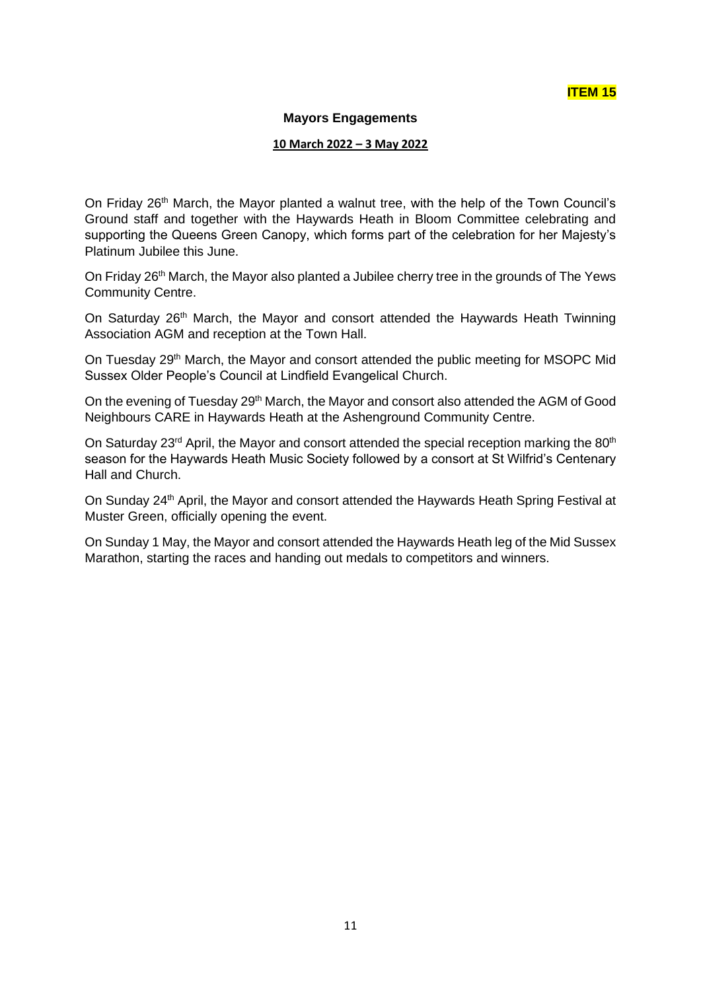## **ITEM 15**

#### **Mayors Engagements**

#### **10 March 2022 – 3 May 2022**

On Friday 26<sup>th</sup> March, the Mayor planted a walnut tree, with the help of the Town Council's Ground staff and together with the Haywards Heath in Bloom Committee celebrating and supporting the Queens Green Canopy, which forms part of the celebration for her Majesty's Platinum Jubilee this June.

On Friday 26<sup>th</sup> March, the Mayor also planted a Jubilee cherry tree in the grounds of The Yews Community Centre.

On Saturday 26<sup>th</sup> March, the Mayor and consort attended the Haywards Heath Twinning Association AGM and reception at the Town Hall.

On Tuesday 29<sup>th</sup> March, the Mayor and consort attended the public meeting for MSOPC Mid Sussex Older People's Council at Lindfield Evangelical Church.

On the evening of Tuesday 29<sup>th</sup> March, the Mayor and consort also attended the AGM of Good Neighbours CARE in Haywards Heath at the Ashenground Community Centre.

On Saturday 23<sup>rd</sup> April, the Mayor and consort attended the special reception marking the 80<sup>th</sup> season for the Haywards Heath Music Society followed by a consort at St Wilfrid's Centenary Hall and Church.

On Sunday 24<sup>th</sup> April, the Mayor and consort attended the Haywards Heath Spring Festival at Muster Green, officially opening the event.

On Sunday 1 May, the Mayor and consort attended the Haywards Heath leg of the Mid Sussex Marathon, starting the races and handing out medals to competitors and winners.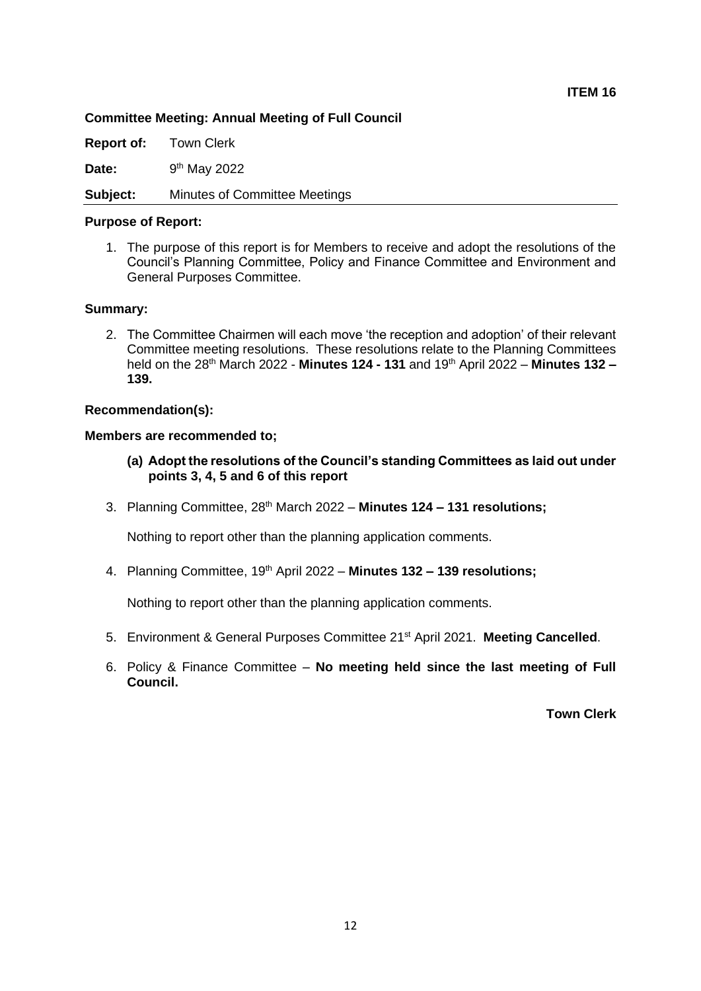#### **Committee Meeting: Annual Meeting of Full Council**

**Report of:** Town Clerk

Date: 9<sup>th</sup> May 2022

**Subject:** Minutes of Committee Meetings

#### **Purpose of Report:**

1. The purpose of this report is for Members to receive and adopt the resolutions of the Council's Planning Committee, Policy and Finance Committee and Environment and General Purposes Committee.

#### **Summary:**

2. The Committee Chairmen will each move 'the reception and adoption' of their relevant Committee meeting resolutions. These resolutions relate to the Planning Committees held on the 28th March 2022 - **Minutes 124 - 131** and 19th April 2022 – **Minutes 132 – 139.**

#### **Recommendation(s):**

#### **Members are recommended to;**

- **(a) Adopt the resolutions of the Council's standing Committees as laid out under points 3, 4, 5 and 6 of this report**
- 3. Planning Committee, 28th March 2022 **Minutes 124 – 131 resolutions;**

Nothing to report other than the planning application comments.

4. Planning Committee, 19th April 2022 – **Minutes 132 – 139 resolutions;**

Nothing to report other than the planning application comments.

- 5. Environment & General Purposes Committee 21st April 2021. **Meeting Cancelled**.
- 6. Policy & Finance Committee **No meeting held since the last meeting of Full Council.**

**Town Clerk**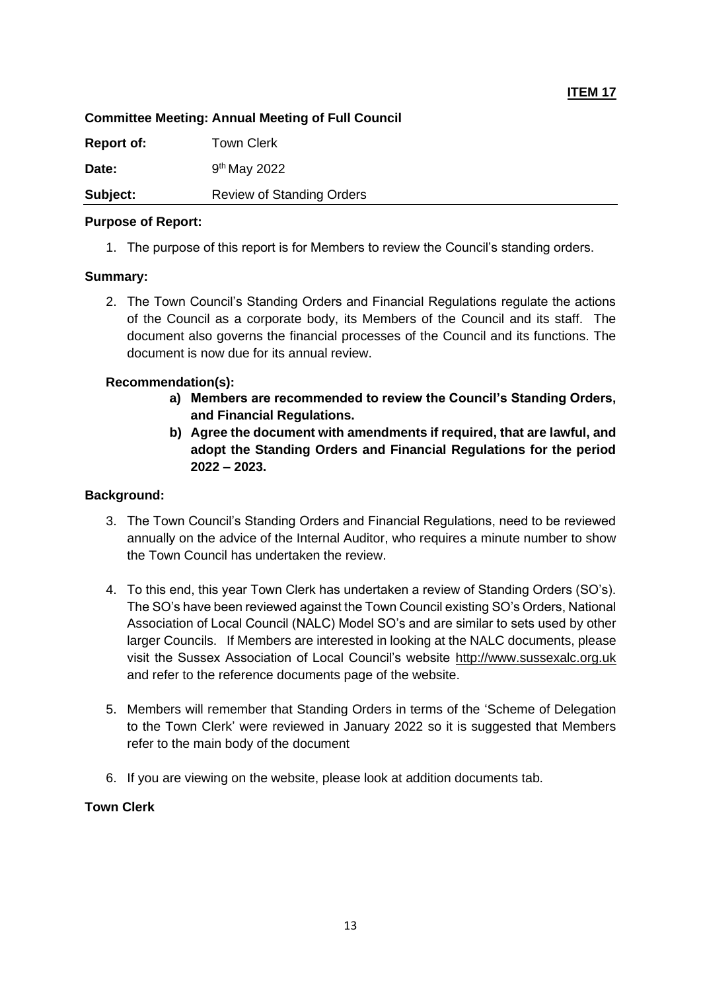## **Committee Meeting: Annual Meeting of Full Council**

| <b>Report of:</b> | <b>Town Clerk</b>                |
|-------------------|----------------------------------|
| Date:             | $9th$ May 2022                   |
| Subject:          | <b>Review of Standing Orders</b> |

## **Purpose of Report:**

1. The purpose of this report is for Members to review the Council's standing orders.

## **Summary:**

2. The Town Council's Standing Orders and Financial Regulations regulate the actions of the Council as a corporate body, its Members of the Council and its staff. The document also governs the financial processes of the Council and its functions. The document is now due for its annual review.

## **Recommendation(s):**

- **a) Members are recommended to review the Council's Standing Orders, and Financial Regulations.**
- **b) Agree the document with amendments if required, that are lawful, and adopt the Standing Orders and Financial Regulations for the period 2022 – 2023.**

## **Background:**

- 3. The Town Council's Standing Orders and Financial Regulations, need to be reviewed annually on the advice of the Internal Auditor, who requires a minute number to show the Town Council has undertaken the review.
- 4. To this end, this year Town Clerk has undertaken a review of Standing Orders (SO's). The SO's have been reviewed against the Town Council existing SO's Orders, National Association of Local Council (NALC) Model SO's and are similar to sets used by other larger Councils. If Members are interested in looking at the NALC documents, please visit the Sussex Association of Local Council's website [http://www.sussexalc.org.uk](http://www.sussexalc.org.uk/) and refer to the reference documents page of the website.
- 5. Members will remember that Standing Orders in terms of the 'Scheme of Delegation to the Town Clerk' were reviewed in January 2022 so it is suggested that Members refer to the main body of the document
- 6. If you are viewing on the website, please look at addition documents tab.

## **Town Clerk**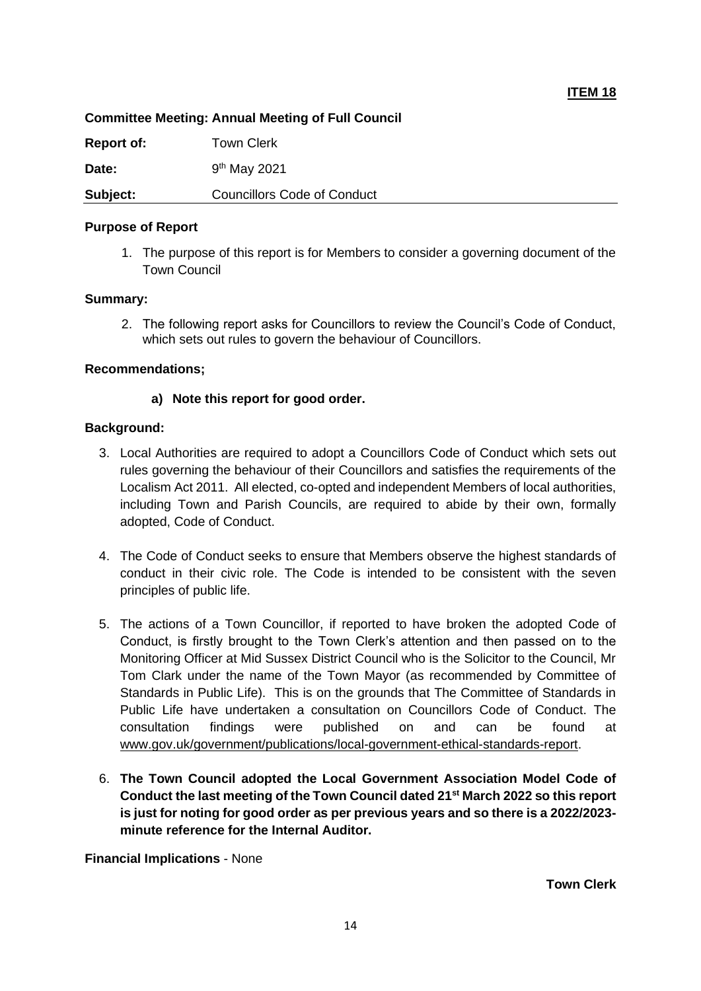## **Committee Meeting: Annual Meeting of Full Council**

| <b>Report of:</b> | Town Clerk                         |
|-------------------|------------------------------------|
| Date:             | $9th$ May 2021                     |
| Subject:          | <b>Councillors Code of Conduct</b> |

### **Purpose of Report**

1. The purpose of this report is for Members to consider a governing document of the Town Council

#### **Summary:**

2. The following report asks for Councillors to review the Council's Code of Conduct, which sets out rules to govern the behaviour of Councillors.

#### **Recommendations;**

## **a) Note this report for good order.**

#### **Background:**

- 3. Local Authorities are required to adopt a Councillors Code of Conduct which sets out rules governing the behaviour of their Councillors and satisfies the requirements of the Localism Act 2011. All elected, co-opted and independent Members of local authorities, including Town and Parish Councils, are required to abide by their own, formally adopted, Code of Conduct.
- 4. The Code of Conduct seeks to ensure that Members observe the highest standards of conduct in their civic role. The Code is intended to be consistent with the seven principles of public life.
- 5. The actions of a Town Councillor, if reported to have broken the adopted Code of Conduct, is firstly brought to the Town Clerk's attention and then passed on to the Monitoring Officer at Mid Sussex District Council who is the Solicitor to the Council, Mr Tom Clark under the name of the Town Mayor (as recommended by Committee of Standards in Public Life). This is on the grounds that The Committee of Standards in Public Life have undertaken a consultation on Councillors Code of Conduct. The consultation findings were published on and can be found at [www.gov.uk/government/publications/local-government-ethical-standards-report.](http://www.gov.uk/government/publications/local-government-ethical-standards-report)
- 6. **The Town Council adopted the Local Government Association Model Code of Conduct the last meeting of the Town Council dated 21st March 2022 so this report is just for noting for good order as per previous years and so there is a 2022/2023 minute reference for the Internal Auditor.**

**Financial Implications** - None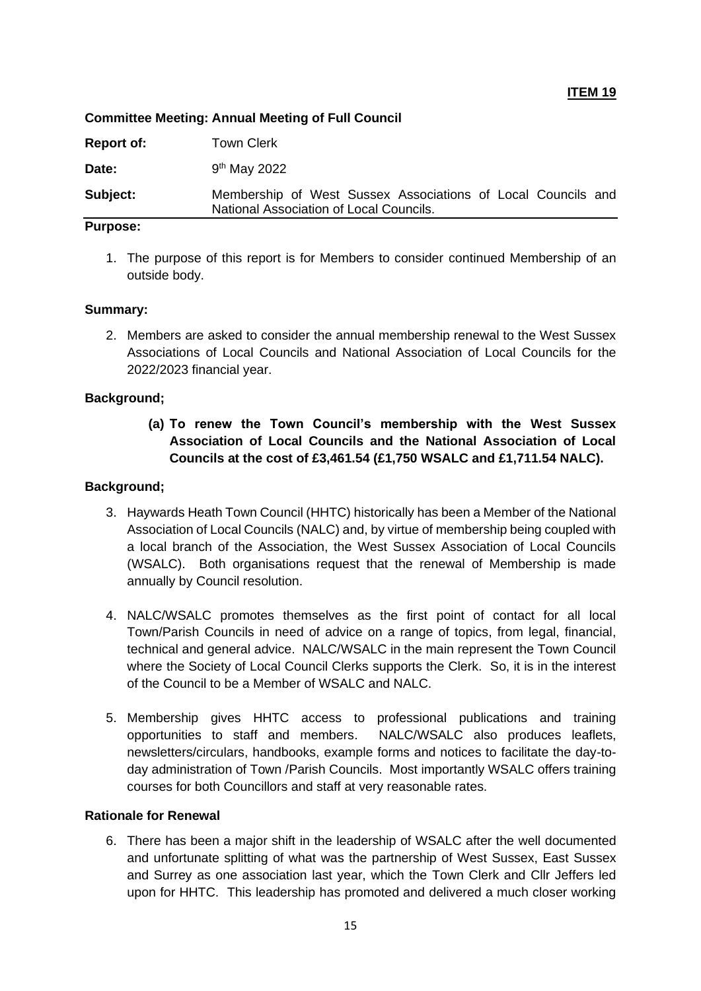**ITEM 19**

#### **Committee Meeting: Annual Meeting of Full Council**

| Report of: | <b>Town Clerk</b>                                                                                       |
|------------|---------------------------------------------------------------------------------------------------------|
| Date:      | 9 <sup>th</sup> May 2022                                                                                |
| Subject:   | Membership of West Sussex Associations of Local Councils and<br>National Association of Local Councils. |
|            |                                                                                                         |

### **Purpose:**

1. The purpose of this report is for Members to consider continued Membership of an outside body.

## **Summary:**

2. Members are asked to consider the annual membership renewal to the West Sussex Associations of Local Councils and National Association of Local Councils for the 2022/2023 financial year.

## **Background;**

**(a) To renew the Town Council's membership with the West Sussex Association of Local Councils and the National Association of Local Councils at the cost of £3,461.54 (£1,750 WSALC and £1,711.54 NALC).**

#### **Background;**

- 3. Haywards Heath Town Council (HHTC) historically has been a Member of the National Association of Local Councils (NALC) and, by virtue of membership being coupled with a local branch of the Association, the West Sussex Association of Local Councils (WSALC). Both organisations request that the renewal of Membership is made annually by Council resolution.
- 4. NALC/WSALC promotes themselves as the first point of contact for all local Town/Parish Councils in need of advice on a range of topics, from legal, financial, technical and general advice. NALC/WSALC in the main represent the Town Council where the Society of Local Council Clerks supports the Clerk. So, it is in the interest of the Council to be a Member of WSALC and NALC.
- 5. Membership gives HHTC access to professional publications and training opportunities to staff and members. NALC/WSALC also produces leaflets, newsletters/circulars, handbooks, example forms and notices to facilitate the day-today administration of Town /Parish Councils. Most importantly WSALC offers training courses for both Councillors and staff at very reasonable rates.

#### **Rationale for Renewal**

6. There has been a major shift in the leadership of WSALC after the well documented and unfortunate splitting of what was the partnership of West Sussex, East Sussex and Surrey as one association last year, which the Town Clerk and Cllr Jeffers led upon for HHTC. This leadership has promoted and delivered a much closer working